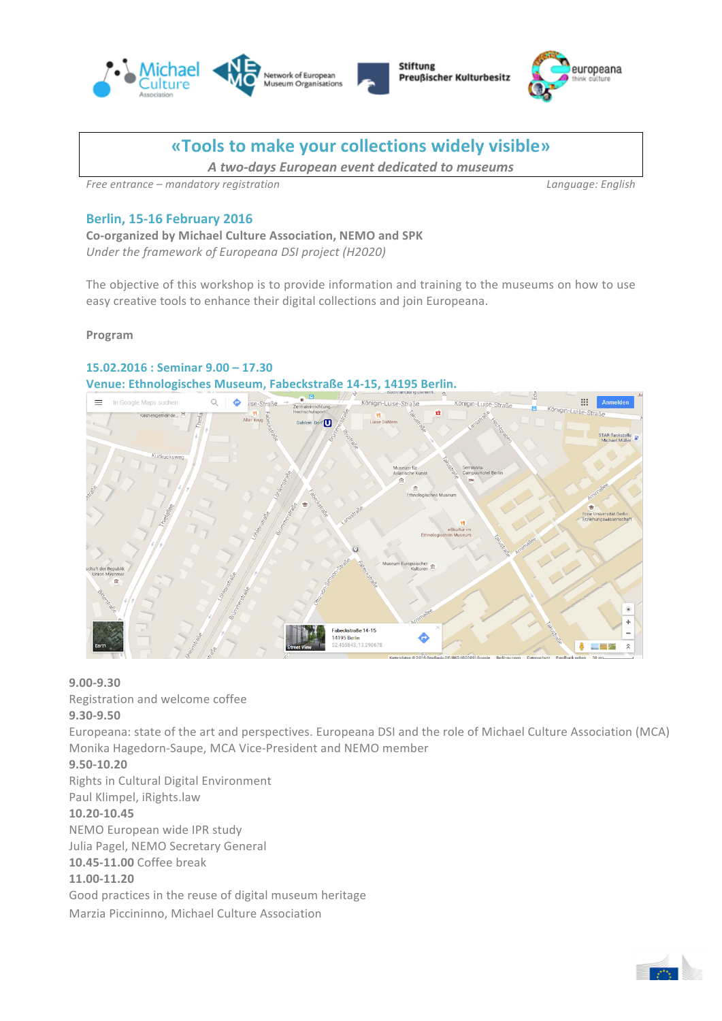





# **«Tools to make your collections widely visible»**

*A two-days European event dedicated to museums*

*Free entrance – mandatory registration Language: English*

## **Berlin, 15-16 February 2016**

**Co-organized by Michael Culture Association, NEMO and SPK** Under the framework of Europeana DSI project (H2020)

The objective of this workshop is to provide information and training to the museums on how to use easy creative tools to enhance their digital collections and join Europeana.

**Program**

### **15.02.2016 : Seminar 9.00 – 17.30** Venue: Ethnologisches Museum, Fabeckstraße 14-15, 14195 Berlin.



**9.00-9.30** 

Registration and welcome coffee

**9.30-9.50**

Europeana: state of the art and perspectives. Europeana DSI and the role of Michael Culture Association (MCA) Monika Hagedorn-Saupe, MCA Vice-President and NEMO member

# **9.50-10.20**

Rights in Cultural Digital Environment Paul Klimpel, iRights.law **10.20-10.45** NEMO European wide IPR study Julia Pagel, NEMO Secretary General **10.45-11.00** Coffee break **11.00-11.20** Good practices in the reuse of digital museum heritage

Marzia Piccininno, Michael Culture Association